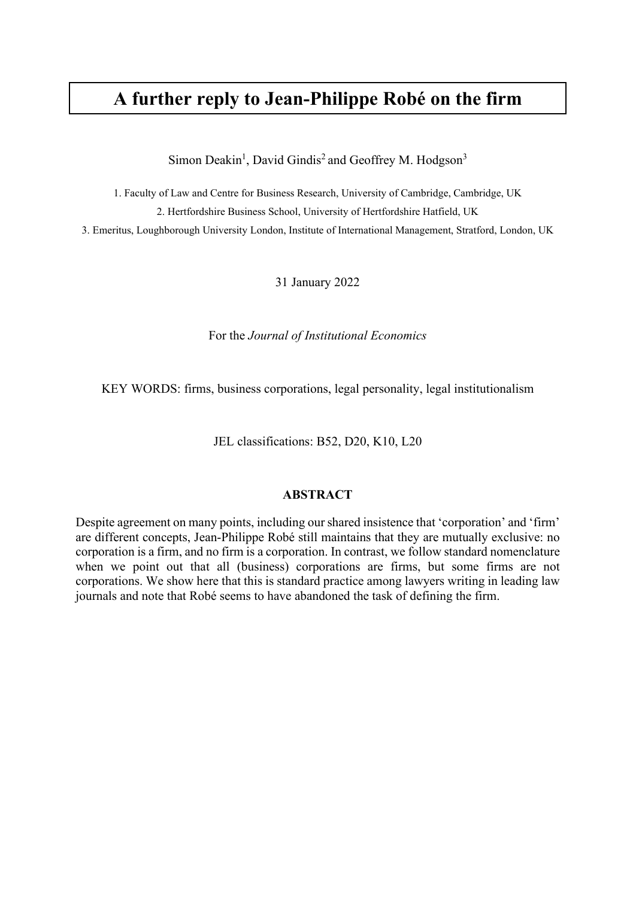# **A further reply to Jean-Philippe Robé on the firm**

Simon Deakin<sup>1</sup>, David Gindis<sup>2</sup> and Geoffrey M. Hodgson<sup>3</sup>

1. Faculty of Law and Centre for Business Research, University of Cambridge, Cambridge, UK 2. Hertfordshire Business School, University of Hertfordshire Hatfield, UK

3. Emeritus, Loughborough University London, Institute of International Management, Stratford, London, UK

31 January 2022

For the *Journal of Institutional Economics*

KEY WORDS: firms, business corporations, legal personality, legal institutionalism

JEL classifications: B52, D20, K10, L20

#### **ABSTRACT**

Despite agreement on many points, including our shared insistence that 'corporation' and 'firm' are different concepts, Jean-Philippe Robé still maintains that they are mutually exclusive: no corporation is a firm, and no firm is a corporation. In contrast, we follow standard nomenclature when we point out that all (business) corporations are firms, but some firms are not corporations. We show here that this is standard practice among lawyers writing in leading law journals and note that Robé seems to have abandoned the task of defining the firm.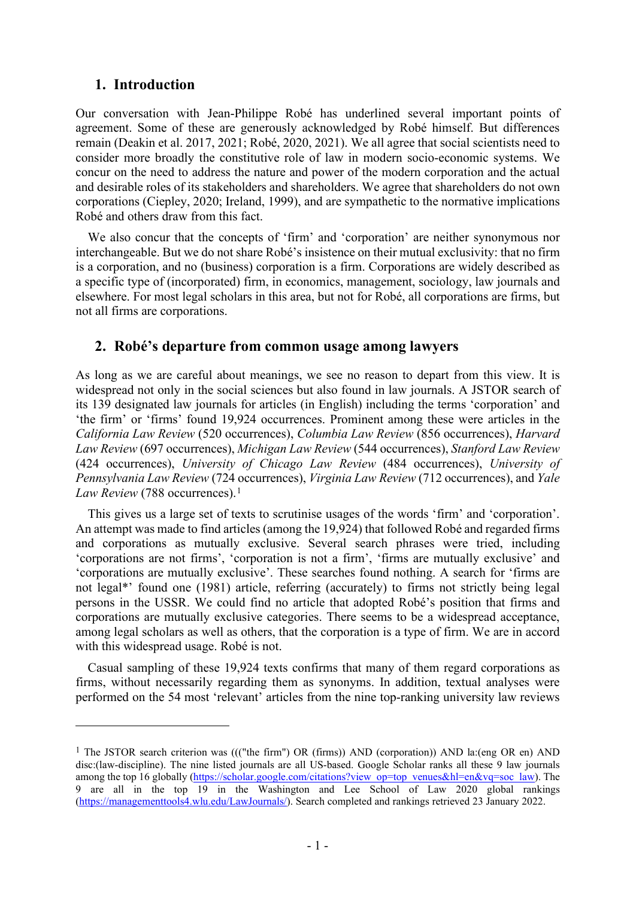#### **1. Introduction**

Our conversation with Jean-Philippe Robé has underlined several important points of agreement. Some of these are generously acknowledged by Robé himself. But differences remain (Deakin et al. 2017, 2021; Robé, 2020, 2021). We all agree that social scientists need to consider more broadly the constitutive role of law in modern socio-economic systems. We concur on the need to address the nature and power of the modern corporation and the actual and desirable roles of its stakeholders and shareholders. We agree that shareholders do not own corporations (Ciepley, 2020; Ireland, 1999), and are sympathetic to the normative implications Robé and others draw from this fact.

We also concur that the concepts of 'firm' and 'corporation' are neither synonymous nor interchangeable. But we do not share Robé's insistence on their mutual exclusivity: that no firm is a corporation, and no (business) corporation is a firm. Corporations are widely described as a specific type of (incorporated) firm, in economics, management, sociology, law journals and elsewhere. For most legal scholars in this area, but not for Robé, all corporations are firms, but not all firms are corporations.

### **2. Robé's departure from common usage among lawyers**

As long as we are careful about meanings, we see no reason to depart from this view. It is widespread not only in the social sciences but also found in law journals. A JSTOR search of its 139 designated law journals for articles (in English) including the terms 'corporation' and 'the firm' or 'firms' found 19,924 occurrences. Prominent among these were articles in the *California Law Review* (520 occurrences), *Columbia Law Review* (856 occurrences), *Harvard Law Review* (697 occurrences), *Michigan Law Review* (544 occurrences), *Stanford Law Review*  (424 occurrences), *University of Chicago Law Review* (484 occurrences), *University of Pennsylvania Law Review* (724 occurrences), *Virginia Law Review* (712 occurrences), and *Yale Law Review* (788 occurrences).[1](#page-1-0)

This gives us a large set of texts to scrutinise usages of the words 'firm' and 'corporation'. An attempt was made to find articles (among the 19,924) that followed Robé and regarded firms and corporations as mutually exclusive. Several search phrases were tried, including 'corporations are not firms', 'corporation is not a firm', 'firms are mutually exclusive' and 'corporations are mutually exclusive'. These searches found nothing. A search for 'firms are not legal\*' found one (1981) article, referring (accurately) to firms not strictly being legal persons in the USSR. We could find no article that adopted Robé's position that firms and corporations are mutually exclusive categories. There seems to be a widespread acceptance, among legal scholars as well as others, that the corporation is a type of firm. We are in accord with this widespread usage. Robé is not.

Casual sampling of these 19,924 texts confirms that many of them regard corporations as firms, without necessarily regarding them as synonyms. In addition, textual analyses were performed on the 54 most 'relevant' articles from the nine top-ranking university law reviews

<span id="page-1-0"></span><sup>&</sup>lt;sup>1</sup> The JSTOR search criterion was ((("the firm") OR (firms)) AND (corporation)) AND la:(eng OR en) AND disc:(law-discipline). The nine listed journals are all US-based. Google Scholar ranks all these 9 law journals among the top 16 globally [\(https://scholar.google.com/citations?view\\_op=top\\_venues&hl=en&vq=soc\\_law\)](https://scholar.google.com/citations?view_op=top_venues&hl=en&vq=soc_law). The 9 are all in the top 19 in the Washington and Lee School of Law 2020 global rankings [\(https://managementtools4.wlu.edu/LawJournals/\)](https://managementtools4.wlu.edu/LawJournals/). Search completed and rankings retrieved 23 January 2022.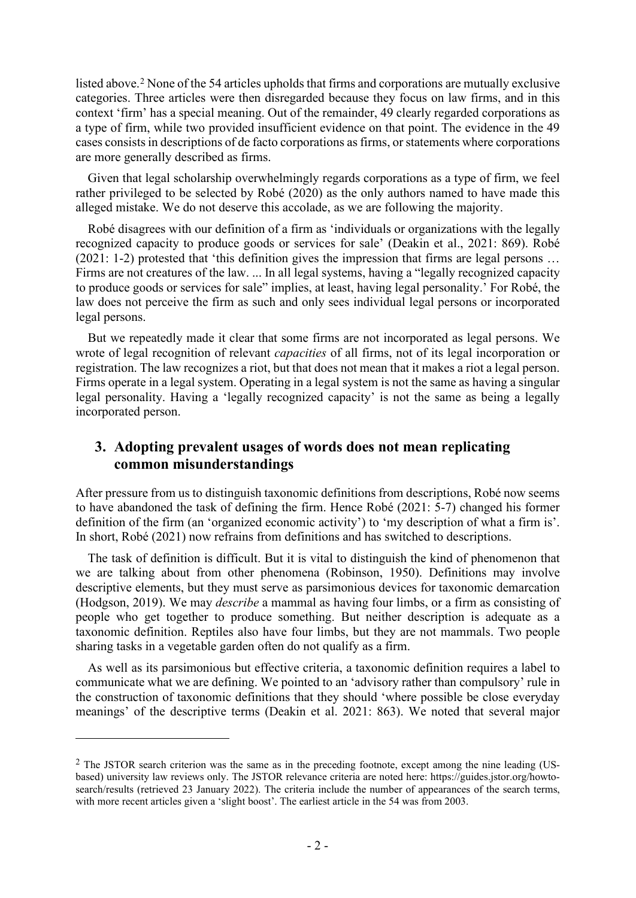listed above.[2](#page-2-0) None of the 54 articles upholds that firms and corporations are mutually exclusive categories. Three articles were then disregarded because they focus on law firms, and in this context 'firm' has a special meaning. Out of the remainder, 49 clearly regarded corporations as a type of firm, while two provided insufficient evidence on that point. The evidence in the 49 cases consistsin descriptions of de facto corporations as firms, or statements where corporations are more generally described as firms.

Given that legal scholarship overwhelmingly regards corporations as a type of firm, we feel rather privileged to be selected by Robé (2020) as the only authors named to have made this alleged mistake. We do not deserve this accolade, as we are following the majority.

Robé disagrees with our definition of a firm as 'individuals or organizations with the legally recognized capacity to produce goods or services for sale' (Deakin et al., 2021: 869). Robé (2021: 1-2) protested that 'this definition gives the impression that firms are legal persons … Firms are not creatures of the law. ... In all legal systems, having a "legally recognized capacity to produce goods or services for sale" implies, at least, having legal personality.' For Robé, the law does not perceive the firm as such and only sees individual legal persons or incorporated legal persons.

But we repeatedly made it clear that some firms are not incorporated as legal persons. We wrote of legal recognition of relevant *capacities* of all firms, not of its legal incorporation or registration. The law recognizes a riot, but that does not mean that it makes a riot a legal person. Firms operate in a legal system. Operating in a legal system is not the same as having a singular legal personality. Having a 'legally recognized capacity' is not the same as being a legally incorporated person.

### **3. Adopting prevalent usages of words does not mean replicating common misunderstandings**

After pressure from us to distinguish taxonomic definitions from descriptions, Robé now seems to have abandoned the task of defining the firm. Hence Robé (2021: 5-7) changed his former definition of the firm (an 'organized economic activity') to 'my description of what a firm is'. In short, Robé (2021) now refrains from definitions and has switched to descriptions.

The task of definition is difficult. But it is vital to distinguish the kind of phenomenon that we are talking about from other phenomena (Robinson, 1950). Definitions may involve descriptive elements, but they must serve as parsimonious devices for taxonomic demarcation (Hodgson, 2019). We may *describe* a mammal as having four limbs, or a firm as consisting of people who get together to produce something. But neither description is adequate as a taxonomic definition. Reptiles also have four limbs, but they are not mammals. Two people sharing tasks in a vegetable garden often do not qualify as a firm.

As well as its parsimonious but effective criteria, a taxonomic definition requires a label to communicate what we are defining. We pointed to an 'advisory rather than compulsory' rule in the construction of taxonomic definitions that they should 'where possible be close everyday meanings' of the descriptive terms (Deakin et al. 2021: 863). We noted that several major

<span id="page-2-0"></span><sup>&</sup>lt;sup>2</sup> The JSTOR search criterion was the same as in the preceding footnote, except among the nine leading (USbased) university law reviews only. The JSTOR relevance criteria are noted here: https://guides.jstor.org/howtosearch/results (retrieved 23 January 2022). The criteria include the number of appearances of the search terms, with more recent articles given a 'slight boost'. The earliest article in the 54 was from 2003.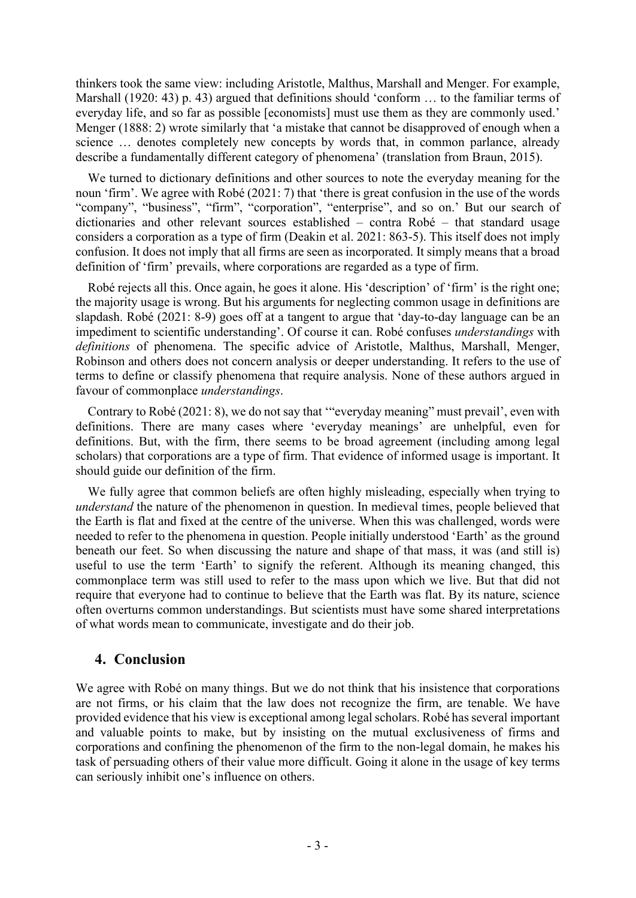thinkers took the same view: including Aristotle, Malthus, Marshall and Menger. For example, Marshall (1920: 43) p. 43) argued that definitions should 'conform ... to the familiar terms of everyday life, and so far as possible [economists] must use them as they are commonly used.' Menger (1888: 2) wrote similarly that 'a mistake that cannot be disapproved of enough when a science … denotes completely new concepts by words that, in common parlance, already describe a fundamentally different category of phenomena' (translation from Braun, 2015).

We turned to dictionary definitions and other sources to note the everyday meaning for the noun 'firm'. We agree with Robé (2021: 7) that 'there is great confusion in the use of the words "company", "business", "firm", "corporation", "enterprise", and so on.' But our search of dictionaries and other relevant sources established – contra Robé – that standard usage considers a corporation as a type of firm (Deakin et al. 2021: 863-5). This itself does not imply confusion. It does not imply that all firms are seen as incorporated. It simply means that a broad definition of 'firm' prevails, where corporations are regarded as a type of firm.

Robé rejects all this. Once again, he goes it alone. His 'description' of 'firm' is the right one; the majority usage is wrong. But his arguments for neglecting common usage in definitions are slapdash. Robé (2021: 8-9) goes off at a tangent to argue that 'day-to-day language can be an impediment to scientific understanding'. Of course it can. Robé confuses *understandings* with *definitions* of phenomena. The specific advice of Aristotle, Malthus, Marshall, Menger, Robinson and others does not concern analysis or deeper understanding. It refers to the use of terms to define or classify phenomena that require analysis. None of these authors argued in favour of commonplace *understandings*.

Contrary to Robé (2021: 8), we do not say that '"everyday meaning" must prevail', even with definitions. There are many cases where 'everyday meanings' are unhelpful, even for definitions. But, with the firm, there seems to be broad agreement (including among legal scholars) that corporations are a type of firm. That evidence of informed usage is important. It should guide our definition of the firm.

We fully agree that common beliefs are often highly misleading, especially when trying to *understand* the nature of the phenomenon in question. In medieval times, people believed that the Earth is flat and fixed at the centre of the universe. When this was challenged, words were needed to refer to the phenomena in question. People initially understood 'Earth' as the ground beneath our feet. So when discussing the nature and shape of that mass, it was (and still is) useful to use the term 'Earth' to signify the referent. Although its meaning changed, this commonplace term was still used to refer to the mass upon which we live. But that did not require that everyone had to continue to believe that the Earth was flat. By its nature, science often overturns common understandings. But scientists must have some shared interpretations of what words mean to communicate, investigate and do their job.

### **4. Conclusion**

We agree with Robé on many things. But we do not think that his insistence that corporations are not firms, or his claim that the law does not recognize the firm, are tenable. We have provided evidence that his view is exceptional among legal scholars. Robé has several important and valuable points to make, but by insisting on the mutual exclusiveness of firms and corporations and confining the phenomenon of the firm to the non-legal domain, he makes his task of persuading others of their value more difficult. Going it alone in the usage of key terms can seriously inhibit one's influence on others.